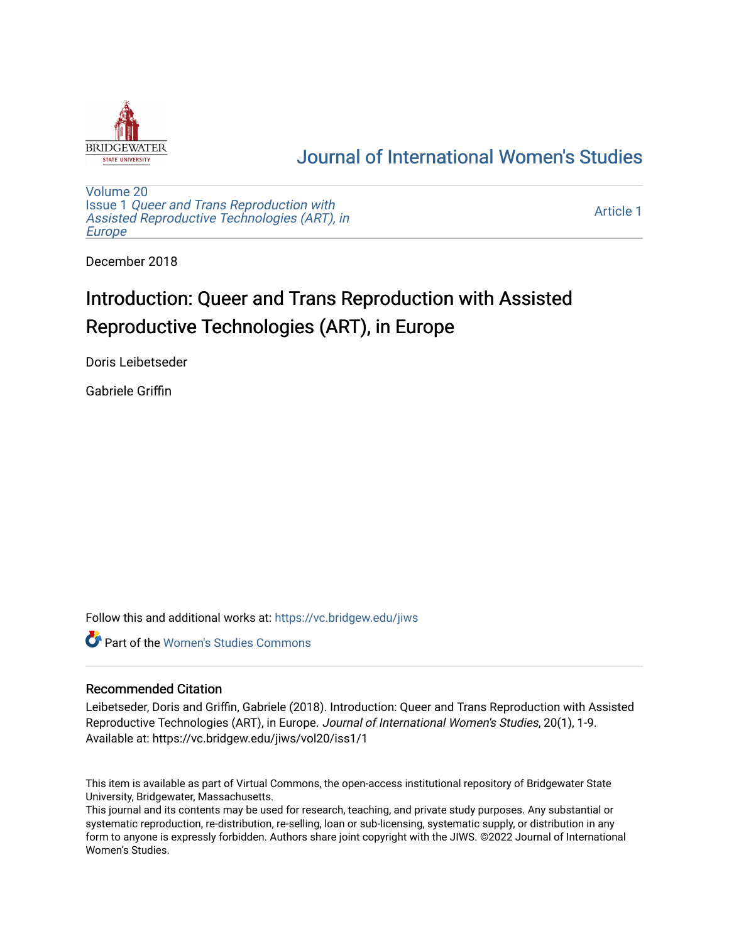

# [Journal of International Women's Studies](https://vc.bridgew.edu/jiws)

[Volume 20](https://vc.bridgew.edu/jiws/vol20) Issue 1 [Queer and Trans Reproduction with](https://vc.bridgew.edu/jiws/vol20/iss1) [Assisted Reproductive Technologies \(ART\), in](https://vc.bridgew.edu/jiws/vol20/iss1) [Europe](https://vc.bridgew.edu/jiws/vol20/iss1)

[Article 1](https://vc.bridgew.edu/jiws/vol20/iss1/1) 

December 2018

# Introduction: Queer and Trans Reproduction with Assisted Reproductive Technologies (ART), in Europe

Doris Leibetseder

Gabriele Griffin

Follow this and additional works at: [https://vc.bridgew.edu/jiws](https://vc.bridgew.edu/jiws?utm_source=vc.bridgew.edu%2Fjiws%2Fvol20%2Fiss1%2F1&utm_medium=PDF&utm_campaign=PDFCoverPages)

**C** Part of the Women's Studies Commons

#### Recommended Citation

Leibetseder, Doris and Griffin, Gabriele (2018). Introduction: Queer and Trans Reproduction with Assisted Reproductive Technologies (ART), in Europe. Journal of International Women's Studies, 20(1), 1-9. Available at: https://vc.bridgew.edu/jiws/vol20/iss1/1

This item is available as part of Virtual Commons, the open-access institutional repository of Bridgewater State University, Bridgewater, Massachusetts.

This journal and its contents may be used for research, teaching, and private study purposes. Any substantial or systematic reproduction, re-distribution, re-selling, loan or sub-licensing, systematic supply, or distribution in any form to anyone is expressly forbidden. Authors share joint copyright with the JIWS. ©2022 Journal of International Women's Studies.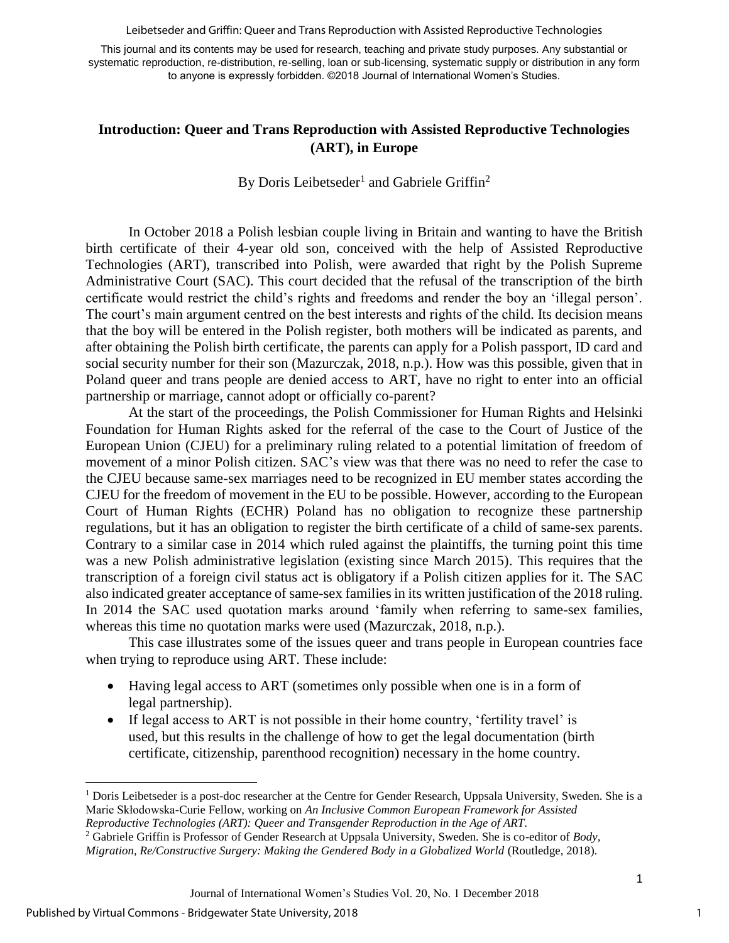Leibetseder and Griffin: Queer and Trans Reproduction with Assisted Reproductive Technologies

This journal and its contents may be used for research, teaching and private study purposes. Any substantial or systematic reproduction, re-distribution, re-selling, loan or sub-licensing, systematic supply or distribution in any form to anyone is expressly forbidden. ©2018 Journal of International Women's Studies.

# **Introduction: Queer and Trans Reproduction with Assisted Reproductive Technologies (ART), in Europe**

# By Doris Leibetseder<sup>1</sup> and Gabriele Griffin<sup>2</sup>

In October 2018 a Polish lesbian couple living in Britain and wanting to have the British birth certificate of their 4-year old son, conceived with the help of Assisted Reproductive Technologies (ART), transcribed into Polish, were awarded that right by the Polish Supreme Administrative Court (SAC). This court decided that the refusal of the transcription of the birth certificate would restrict the child's rights and freedoms and render the boy an 'illegal person'. The court's main argument centred on the best interests and rights of the child. Its decision means that the boy will be entered in the Polish register, both mothers will be indicated as parents, and after obtaining the Polish birth certificate, the parents can apply for a Polish passport, ID card and social security number for their son (Mazurczak, 2018, n.p.). How was this possible, given that in Poland queer and trans people are denied access to ART, have no right to enter into an official partnership or marriage, cannot adopt or officially co-parent?

At the start of the proceedings, the Polish Commissioner for Human Rights and Helsinki Foundation for Human Rights asked for the referral of the case to the Court of Justice of the European Union (CJEU) for a preliminary ruling related to a potential limitation of freedom of movement of a minor Polish citizen. SAC's view was that there was no need to refer the case to the CJEU because same-sex marriages need to be recognized in EU member states according the CJEU for the freedom of movement in the EU to be possible. However, according to the European Court of Human Rights (ECHR) Poland has no obligation to recognize these partnership regulations, but it has an obligation to register the birth certificate of a child of same-sex parents. Contrary to a similar case in 2014 which ruled against the plaintiffs, the turning point this time was a new Polish administrative legislation (existing since March 2015). This requires that the transcription of a foreign civil status act is obligatory if a Polish citizen applies for it. The SAC also indicated greater acceptance of same-sex families in its written justification of the 2018 ruling. In 2014 the SAC used quotation marks around 'family when referring to same-sex families, whereas this time no quotation marks were used (Mazurczak, 2018, n.p.).

This case illustrates some of the issues queer and trans people in European countries face when trying to reproduce using ART. These include:

- Having legal access to ART (sometimes only possible when one is in a form of legal partnership).
- If legal access to ART is not possible in their home country, 'fertility travel' is used, but this results in the challenge of how to get the legal documentation (birth certificate, citizenship, parenthood recognition) necessary in the home country.

l

<sup>&</sup>lt;sup>1</sup> Doris Leibetseder is a post-doc researcher at the Centre for Gender Research, Uppsala University, Sweden. She is a Marie Skłodowska-Curie Fellow, working on *An Inclusive Common European Framework for Assisted Reproductive Technologies (ART): Queer and Transgender Reproduction in the Age of ART*.

<sup>2</sup> Gabriele Griffin is Professor of Gender Research at Uppsala University, Sweden. She is co-editor of *Body, Migration, Re/Constructive Surgery: Making the Gendered Body in a Globalized World* (Routledge, 2018).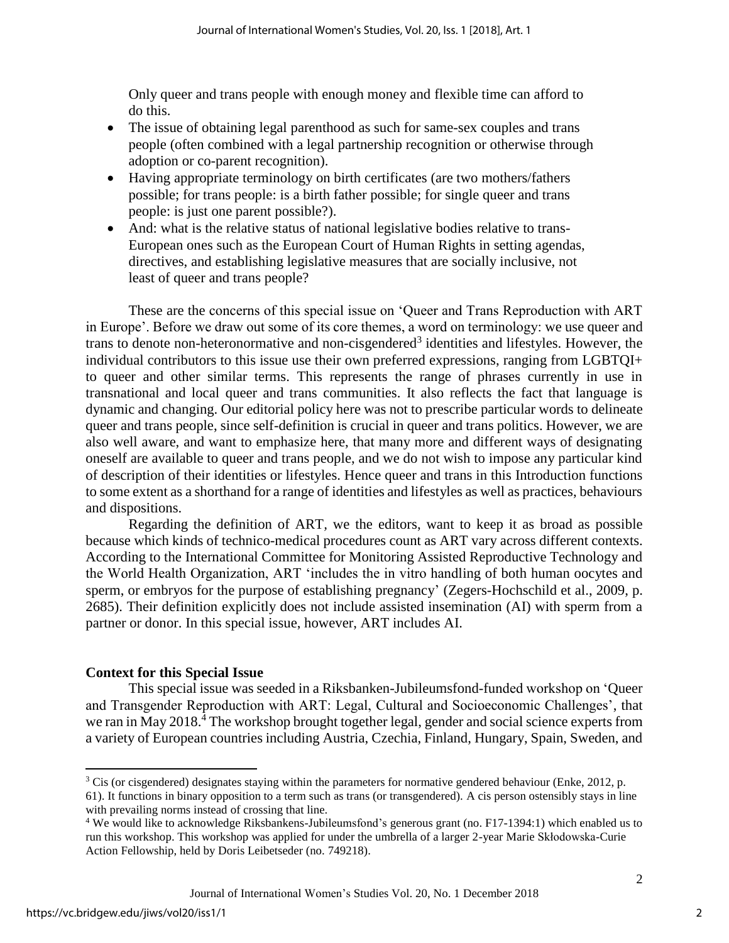Only queer and trans people with enough money and flexible time can afford to do this.

- The issue of obtaining legal parenthood as such for same-sex couples and trans people (often combined with a legal partnership recognition or otherwise through adoption or co-parent recognition).
- Having appropriate terminology on birth certificates (are two mothers/fathers possible; for trans people: is a birth father possible; for single queer and trans people: is just one parent possible?).
- And: what is the relative status of national legislative bodies relative to trans-European ones such as the European Court of Human Rights in setting agendas, directives, and establishing legislative measures that are socially inclusive, not least of queer and trans people?

These are the concerns of this special issue on 'Queer and Trans Reproduction with ART in Europe'. Before we draw out some of its core themes, a word on terminology: we use queer and trans to denote non-heteronormative and non-cisgendered<sup>3</sup> identities and lifestyles. However, the individual contributors to this issue use their own preferred expressions, ranging from LGBTQI+ to queer and other similar terms. This represents the range of phrases currently in use in transnational and local queer and trans communities. It also reflects the fact that language is dynamic and changing. Our editorial policy here was not to prescribe particular words to delineate queer and trans people, since self-definition is crucial in queer and trans politics. However, we are also well aware, and want to emphasize here, that many more and different ways of designating oneself are available to queer and trans people, and we do not wish to impose any particular kind of description of their identities or lifestyles. Hence queer and trans in this Introduction functions to some extent as a shorthand for a range of identities and lifestyles as well as practices, behaviours and dispositions.

Regarding the definition of ART*,* we the editors, want to keep it as broad as possible because which kinds of technico-medical procedures count as ART vary across different contexts. According to the International Committee for Monitoring Assisted Reproductive Technology and the World Health Organization, ART 'includes the in vitro handling of both human oocytes and sperm, or embryos for the purpose of establishing pregnancy' (Zegers-Hochschild et al., 2009, p. 2685). Their definition explicitly does not include assisted insemination (AI) with sperm from a partner or donor. In this special issue, however, ART includes AI.

### **Context for this Special Issue**

This special issue was seeded in a Riksbanken-Jubileumsfond-funded workshop on 'Queer and Transgender Reproduction with ART: Legal, Cultural and Socioeconomic Challenges', that we ran in May 2018.<sup>4</sup> The workshop brought together legal, gender and social science experts from a variety of European countries including Austria, Czechia, Finland, Hungary, Spain, Sweden, and

 $\overline{\phantom{a}}$ 

 $3$  Cis (or cisgendered) designates staying within the parameters for normative gendered behaviour (Enke, 2012, p.

<sup>61).</sup> It functions in binary opposition to a term such as trans (or transgendered). A cis person ostensibly stays in line with prevailing norms instead of crossing that line.

<sup>4</sup> We would like to acknowledge Riksbankens-Jubileumsfond's generous grant (no. F17-1394:1) which enabled us to run this workshop. This workshop was applied for under the umbrella of a larger 2-year Marie Skłodowska-Curie Action Fellowship, held by Doris Leibetseder (no. 749218).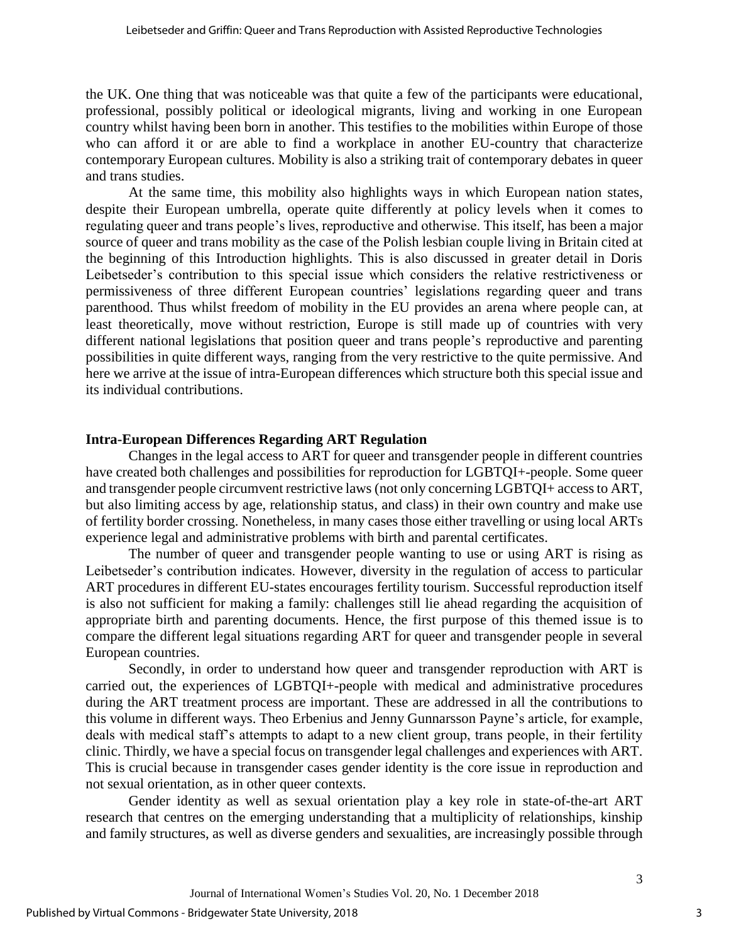the UK. One thing that was noticeable was that quite a few of the participants were educational, professional, possibly political or ideological migrants, living and working in one European country whilst having been born in another. This testifies to the mobilities within Europe of those who can afford it or are able to find a workplace in another EU-country that characterize contemporary European cultures. Mobility is also a striking trait of contemporary debates in queer and trans studies.

At the same time, this mobility also highlights ways in which European nation states, despite their European umbrella, operate quite differently at policy levels when it comes to regulating queer and trans people's lives, reproductive and otherwise. This itself, has been a major source of queer and trans mobility as the case of the Polish lesbian couple living in Britain cited at the beginning of this Introduction highlights. This is also discussed in greater detail in Doris Leibetseder's contribution to this special issue which considers the relative restrictiveness or permissiveness of three different European countries' legislations regarding queer and trans parenthood. Thus whilst freedom of mobility in the EU provides an arena where people can, at least theoretically, move without restriction, Europe is still made up of countries with very different national legislations that position queer and trans people's reproductive and parenting possibilities in quite different ways, ranging from the very restrictive to the quite permissive. And here we arrive at the issue of intra-European differences which structure both this special issue and its individual contributions.

#### **Intra-European Differences Regarding ART Regulation**

Changes in the legal access to ART for queer and transgender people in different countries have created both challenges and possibilities for reproduction for LGBTQI+-people. Some queer and transgender people circumvent restrictive laws (not only concerning LGBTQI+ access to ART, but also limiting access by age, relationship status, and class) in their own country and make use of fertility border crossing. Nonetheless, in many cases those either travelling or using local ARTs experience legal and administrative problems with birth and parental certificates.

The number of queer and transgender people wanting to use or using ART is rising as Leibetseder's contribution indicates. However, diversity in the regulation of access to particular ART procedures in different EU-states encourages fertility tourism. Successful reproduction itself is also not sufficient for making a family: challenges still lie ahead regarding the acquisition of appropriate birth and parenting documents. Hence, the first purpose of this themed issue is to compare the different legal situations regarding ART for queer and transgender people in several European countries.

Secondly, in order to understand how queer and transgender reproduction with ART is carried out, the experiences of LGBTQI+-people with medical and administrative procedures during the ART treatment process are important. These are addressed in all the contributions to this volume in different ways. Theo Erbenius and Jenny Gunnarsson Payne's article, for example, deals with medical staff's attempts to adapt to a new client group, trans people, in their fertility clinic. Thirdly, we have a special focus on transgender legal challenges and experiences with ART. This is crucial because in transgender cases gender identity is the core issue in reproduction and not sexual orientation, as in other queer contexts.

Gender identity as well as sexual orientation play a key role in state-of-the-art ART research that centres on the emerging understanding that a multiplicity of relationships, kinship and family structures, as well as diverse genders and sexualities, are increasingly possible through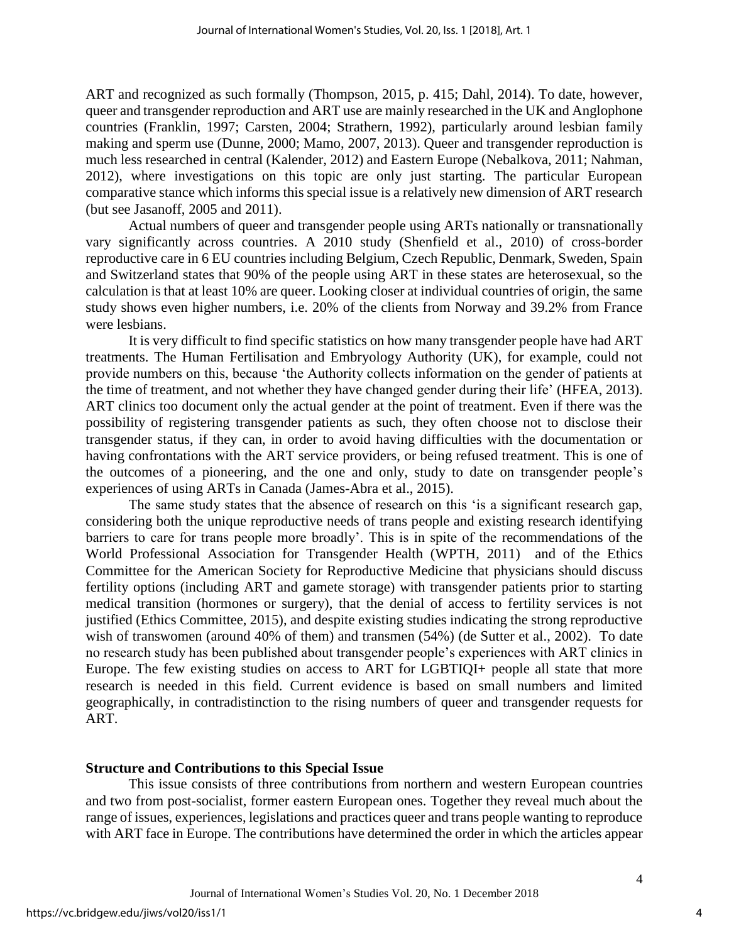ART and recognized as such formally (Thompson, 2015, p. 415; Dahl, 2014). To date, however, queer and transgender reproduction and ART use are mainly researched in the UK and Anglophone countries (Franklin, 1997; Carsten, 2004; Strathern, 1992), particularly around lesbian family making and sperm use (Dunne, 2000; Mamo, 2007, 2013). Queer and transgender reproduction is much less researched in central (Kalender, 2012) and Eastern Europe (Nebalkova, 2011; Nahman, 2012), where investigations on this topic are only just starting. The particular European comparative stance which informs this special issue is a relatively new dimension of ART research (but see Jasanoff, 2005 and 2011).

Actual numbers of queer and transgender people using ARTs nationally or transnationally vary significantly across countries. A 2010 study (Shenfield et al., 2010) of cross-border reproductive care in 6 EU countries including Belgium, Czech Republic, Denmark, Sweden, Spain and Switzerland states that 90% of the people using ART in these states are heterosexual, so the calculation is that at least 10% are queer. Looking closer at individual countries of origin, the same study shows even higher numbers, i.e. 20% of the clients from Norway and 39.2% from France were lesbians.

It is very difficult to find specific statistics on how many transgender people have had ART treatments. The Human Fertilisation and Embryology Authority (UK), for example, could not provide numbers on this, because 'the Authority collects information on the gender of patients at the time of treatment, and not whether they have changed gender during their life' (HFEA, 2013). ART clinics too document only the actual gender at the point of treatment. Even if there was the possibility of registering transgender patients as such, they often choose not to disclose their transgender status, if they can, in order to avoid having difficulties with the documentation or having confrontations with the ART service providers, or being refused treatment. This is one of the outcomes of a pioneering, and the one and only, study to date on transgender people's experiences of using ARTs in Canada (James-Abra et al., 2015).

The same study states that the absence of research on this 'is a significant research gap, considering both the unique reproductive needs of trans people and existing research identifying barriers to care for trans people more broadly'. This is in spite of the recommendations of the World Professional Association for Transgender Health (WPTH, 2011) and of the Ethics Committee for the American Society for Reproductive Medicine that physicians should discuss fertility options (including ART and gamete storage) with transgender patients prior to starting medical transition (hormones or surgery), that the denial of access to fertility services is not justified (Ethics Committee, 2015), and despite existing studies indicating the strong reproductive wish of transwomen (around 40% of them) and transmen (54%) (de Sutter et al., 2002). To date no research study has been published about transgender people's experiences with ART clinics in Europe. The few existing studies on access to ART for LGBTIQI+ people all state that more research is needed in this field. Current evidence is based on small numbers and limited geographically, in contradistinction to the rising numbers of queer and transgender requests for ART.

#### **Structure and Contributions to this Special Issue**

This issue consists of three contributions from northern and western European countries and two from post-socialist, former eastern European ones. Together they reveal much about the range of issues, experiences, legislations and practices queer and trans people wanting to reproduce with ART face in Europe. The contributions have determined the order in which the articles appear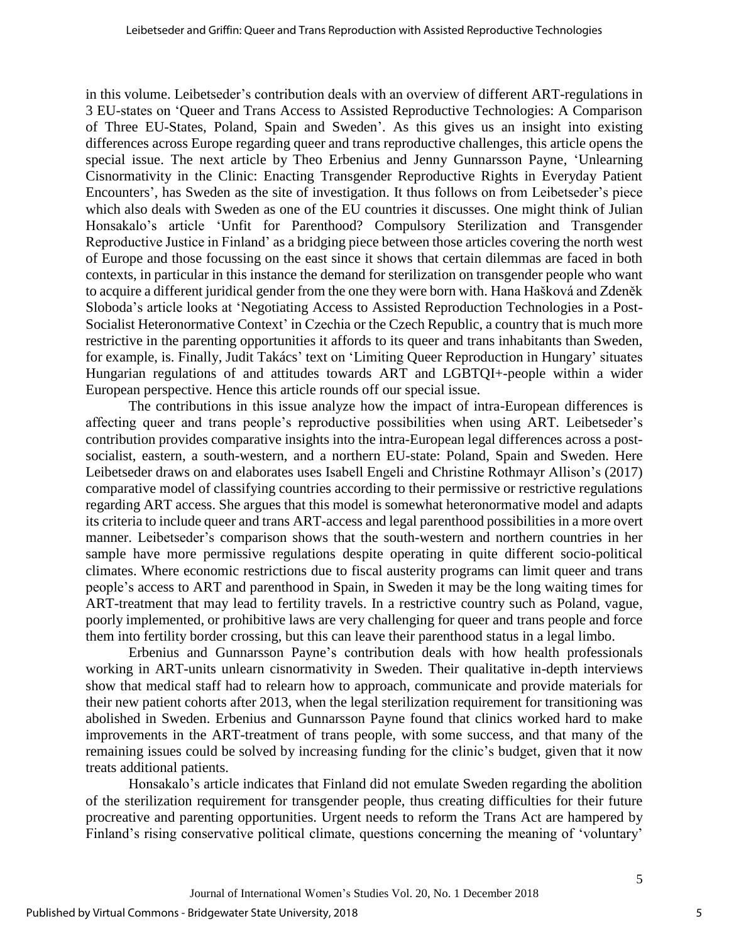in this volume. Leibetseder's contribution deals with an overview of different ART-regulations in 3 EU-states on 'Queer and Trans Access to Assisted Reproductive Technologies: A Comparison of Three EU-States, Poland, Spain and Sweden'. As this gives us an insight into existing differences across Europe regarding queer and trans reproductive challenges, this article opens the special issue. The next article by Theo Erbenius and Jenny Gunnarsson Payne, 'Unlearning Cisnormativity in the Clinic: Enacting Transgender Reproductive Rights in Everyday Patient Encounters', has Sweden as the site of investigation. It thus follows on from Leibetseder's piece which also deals with Sweden as one of the EU countries it discusses. One might think of Julian Honsakalo's article 'Unfit for Parenthood? Compulsory Sterilization and Transgender Reproductive Justice in Finland' as a bridging piece between those articles covering the north west of Europe and those focussing on the east since it shows that certain dilemmas are faced in both contexts, in particular in this instance the demand for sterilization on transgender people who want to acquire a different juridical gender from the one they were born with. Hana Hašková and Zdeněk Sloboda's article looks at 'Negotiating Access to Assisted Reproduction Technologies in a Post-Socialist Heteronormative Context' in Czechia or the Czech Republic, a country that is much more restrictive in the parenting opportunities it affords to its queer and trans inhabitants than Sweden, for example, is. Finally, Judit Takács' text on 'Limiting Queer Reproduction in Hungary' situates Hungarian regulations of and attitudes towards ART and LGBTQI+-people within a wider European perspective. Hence this article rounds off our special issue.

The contributions in this issue analyze how the impact of intra-European differences is affecting queer and trans people's reproductive possibilities when using ART. Leibetseder's contribution provides comparative insights into the intra-European legal differences across a postsocialist, eastern, a south-western, and a northern EU-state: Poland, Spain and Sweden. Here Leibetseder draws on and elaborates uses Isabell Engeli and Christine Rothmayr Allison's (2017) comparative model of classifying countries according to their permissive or restrictive regulations regarding ART access. She argues that this model is somewhat heteronormative model and adapts its criteria to include queer and trans ART-access and legal parenthood possibilities in a more overt manner. Leibetseder's comparison shows that the south-western and northern countries in her sample have more permissive regulations despite operating in quite different socio-political climates. Where economic restrictions due to fiscal austerity programs can limit queer and trans people's access to ART and parenthood in Spain, in Sweden it may be the long waiting times for ART-treatment that may lead to fertility travels. In a restrictive country such as Poland, vague, poorly implemented, or prohibitive laws are very challenging for queer and trans people and force them into fertility border crossing, but this can leave their parenthood status in a legal limbo.

Erbenius and Gunnarsson Payne's contribution deals with how health professionals working in ART-units unlearn cisnormativity in Sweden. Their qualitative in-depth interviews show that medical staff had to relearn how to approach, communicate and provide materials for their new patient cohorts after 2013, when the legal sterilization requirement for transitioning was abolished in Sweden. Erbenius and Gunnarsson Payne found that clinics worked hard to make improvements in the ART-treatment of trans people, with some success, and that many of the remaining issues could be solved by increasing funding for the clinic's budget, given that it now treats additional patients.

Honsakalo's article indicates that Finland did not emulate Sweden regarding the abolition of the sterilization requirement for transgender people, thus creating difficulties for their future procreative and parenting opportunities. Urgent needs to reform the Trans Act are hampered by Finland's rising conservative political climate, questions concerning the meaning of 'voluntary'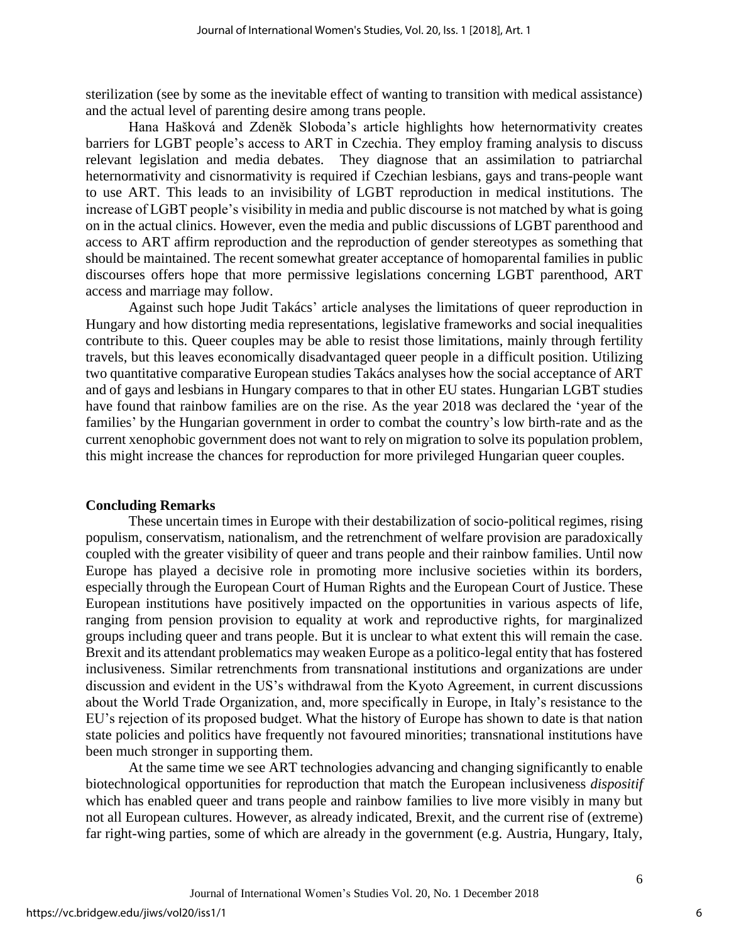sterilization (see by some as the inevitable effect of wanting to transition with medical assistance) and the actual level of parenting desire among trans people.

Hana Hašková and Zdeněk Sloboda's article highlights how heternormativity creates barriers for LGBT people's access to ART in Czechia. They employ framing analysis to discuss relevant legislation and media debates. They diagnose that an assimilation to patriarchal heternormativity and cisnormativity is required if Czechian lesbians, gays and trans-people want to use ART. This leads to an invisibility of LGBT reproduction in medical institutions. The increase of LGBT people's visibility in media and public discourse is not matched by what is going on in the actual clinics. However, even the media and public discussions of LGBT parenthood and access to ART affirm reproduction and the reproduction of gender stereotypes as something that should be maintained. The recent somewhat greater acceptance of homoparental families in public discourses offers hope that more permissive legislations concerning LGBT parenthood, ART access and marriage may follow.

Against such hope Judit Takács' article analyses the limitations of queer reproduction in Hungary and how distorting media representations, legislative frameworks and social inequalities contribute to this. Queer couples may be able to resist those limitations, mainly through fertility travels, but this leaves economically disadvantaged queer people in a difficult position. Utilizing two quantitative comparative European studies Takács analyses how the social acceptance of ART and of gays and lesbians in Hungary compares to that in other EU states. Hungarian LGBT studies have found that rainbow families are on the rise. As the year 2018 was declared the 'year of the families' by the Hungarian government in order to combat the country's low birth-rate and as the current xenophobic government does not want to rely on migration to solve its population problem, this might increase the chances for reproduction for more privileged Hungarian queer couples.

#### **Concluding Remarks**

These uncertain times in Europe with their destabilization of socio-political regimes, rising populism, conservatism, nationalism, and the retrenchment of welfare provision are paradoxically coupled with the greater visibility of queer and trans people and their rainbow families. Until now Europe has played a decisive role in promoting more inclusive societies within its borders, especially through the European Court of Human Rights and the European Court of Justice. These European institutions have positively impacted on the opportunities in various aspects of life, ranging from pension provision to equality at work and reproductive rights, for marginalized groups including queer and trans people. But it is unclear to what extent this will remain the case. Brexit and its attendant problematics may weaken Europe as a politico-legal entity that has fostered inclusiveness. Similar retrenchments from transnational institutions and organizations are under discussion and evident in the US's withdrawal from the Kyoto Agreement, in current discussions about the World Trade Organization, and, more specifically in Europe, in Italy's resistance to the EU's rejection of its proposed budget. What the history of Europe has shown to date is that nation state policies and politics have frequently not favoured minorities; transnational institutions have been much stronger in supporting them.

At the same time we see ART technologies advancing and changing significantly to enable biotechnological opportunities for reproduction that match the European inclusiveness *dispositif* which has enabled queer and trans people and rainbow families to live more visibly in many but not all European cultures. However, as already indicated, Brexit, and the current rise of (extreme) far right-wing parties, some of which are already in the government (e.g. Austria, Hungary, Italy,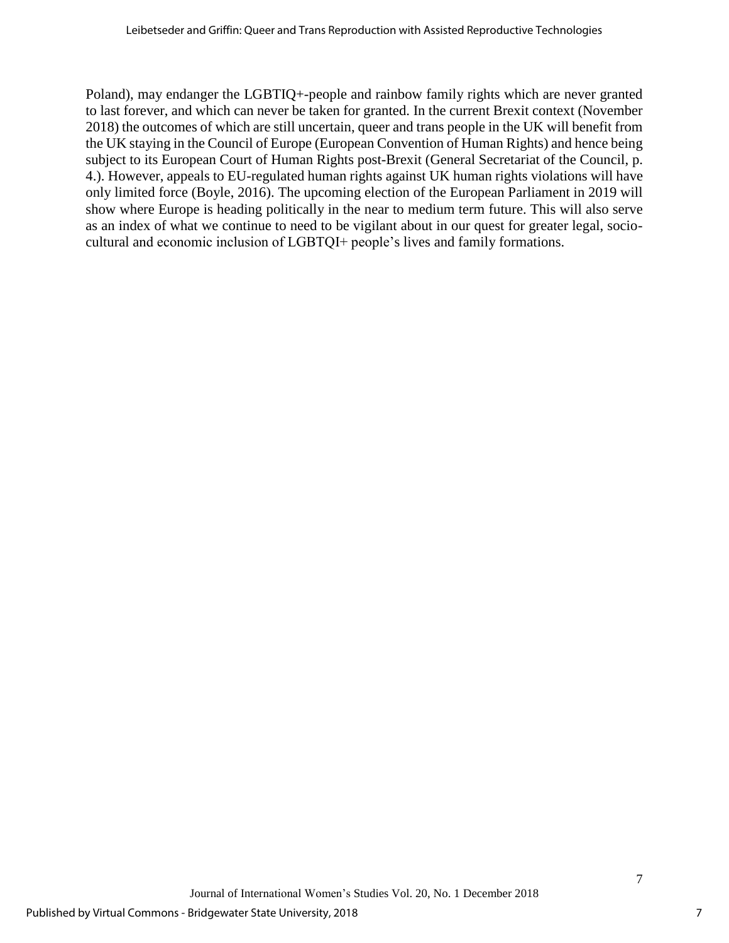Poland), may endanger the LGBTIQ+-people and rainbow family rights which are never granted to last forever, and which can never be taken for granted. In the current Brexit context (November 2018) the outcomes of which are still uncertain, queer and trans people in the UK will benefit from the UK staying in the Council of Europe (European Convention of Human Rights) and hence being subject to its European Court of Human Rights post-Brexit (General Secretariat of the Council, p. 4.). However, appeals to EU-regulated human rights against UK human rights violations will have only limited force (Boyle, 2016). The upcoming election of the European Parliament in 2019 will show where Europe is heading politically in the near to medium term future. This will also serve as an index of what we continue to need to be vigilant about in our quest for greater legal, sociocultural and economic inclusion of LGBTQI+ people's lives and family formations.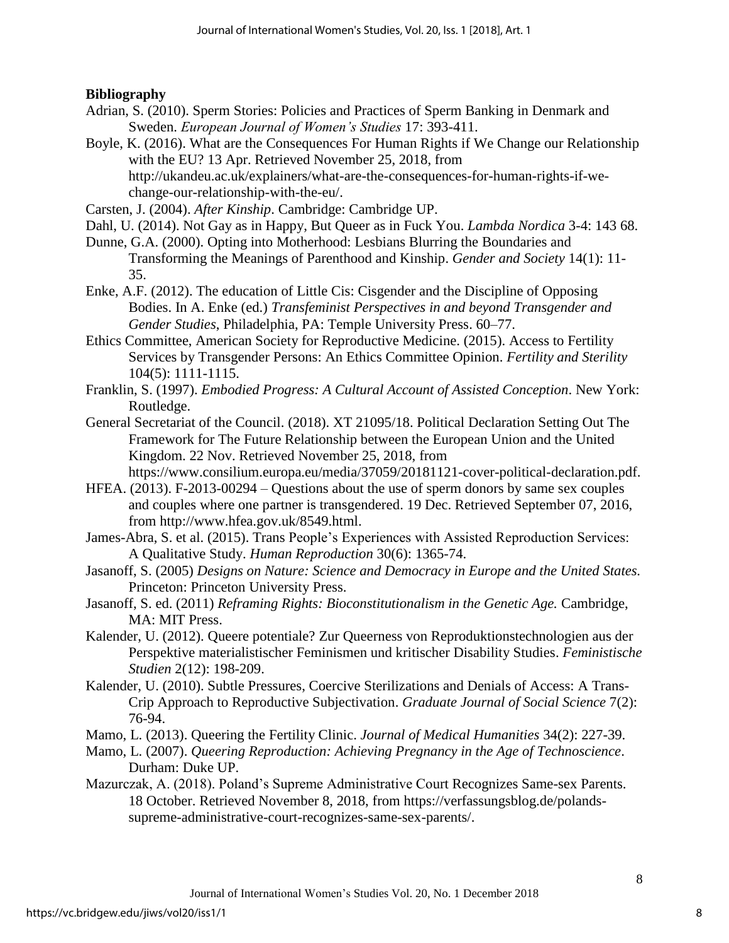## **Bibliography**

- Adrian, S. (2010). Sperm Stories: Policies and Practices of Sperm Banking in Denmark and Sweden. *European Journal of Women's Studies* 17: 393-411.
- Boyle, K. (2016). What are the Consequences For Human Rights if We Change our Relationship with the EU? 13 Apr. Retrieved November 25, 2018, from http://ukandeu.ac.uk/explainers/what-are-the-consequences-for-human-rights-if-wechange-our-relationship-with-the-eu/.
- Carsten, J. (2004). *After Kinship*. Cambridge: Cambridge UP.
- Dahl, U. (2014). Not Gay as in Happy, But Queer as in Fuck You. *Lambda Nordica* 3-4: 143 68.
- Dunne, G.A. (2000). Opting into Motherhood: Lesbians Blurring the Boundaries and Transforming the Meanings of Parenthood and Kinship. *Gender and Society* 14(1): 11- 35.
- Enke, A.F. (2012). The education of Little Cis: Cisgender and the Discipline of Opposing Bodies. In A. Enke (ed.) *Transfeminist Perspectives in and beyond Transgender and Gender Studies*, Philadelphia, PA: Temple University Press. 60–77.
- Ethics Committee, American Society for Reproductive Medicine. (2015). Access to Fertility Services by Transgender Persons: An Ethics Committee Opinion. *Fertility and Sterility* 104(5): 1111-1115.
- Franklin, S. (1997). *Embodied Progress: A Cultural Account of Assisted Conception*. New York: Routledge.
- General Secretariat of the Council. (2018). XT 21095/18. Political Declaration Setting Out The Framework for The Future Relationship between the European Union and the United Kingdom. 22 Nov. Retrieved November 25, 2018, from https://www.consilium.europa.eu/media/37059/20181121-cover-political-declaration.pdf.
- HFEA. (2013). F-2013-00294 Questions about the use of sperm donors by same sex couples and couples where one partner is transgendered. 19 Dec. Retrieved September 07, 2016, from http://www.hfea.gov.uk/8549.html.
- James-Abra, S. et al. (2015). Trans People's Experiences with Assisted Reproduction Services: A Qualitative Study. *Human Reproduction* 30(6): 1365-74.
- Jasanoff, S. (2005) *Designs on Nature: Science and Democracy in Europe and the United States.*  Princeton: Princeton University Press.
- Jasanoff, S. ed. (2011) *Reframing Rights: Bioconstitutionalism in the Genetic Age.* Cambridge, MA: MIT Press.
- Kalender, U. (2012). Queere potentiale? Zur Queerness von Reproduktionstechnologien aus der Perspektive materialistischer Feminismen und kritischer Disability Studies. *Feministische Studien* 2(12): 198-209.
- Kalender, U. (2010). Subtle Pressures, Coercive Sterilizations and Denials of Access: A Trans-Crip Approach to Reproductive Subjectivation. *Graduate Journal of Social Science* 7(2): 76-94.
- Mamo, L. (2013). Queering the Fertility Clinic. *Journal of Medical Humanities* 34(2): 227-39.
- Mamo, L. (2007). *Queering Reproduction: Achieving Pregnancy in the Age of Technoscience*. Durham: Duke UP.
- Mazurczak, A. (2018). Poland's Supreme Administrative Court Recognizes Same-sex Parents. 18 October. Retrieved November 8, 2018, from https://verfassungsblog.de/polandssupreme-administrative-court-recognizes-same-sex-parents/.